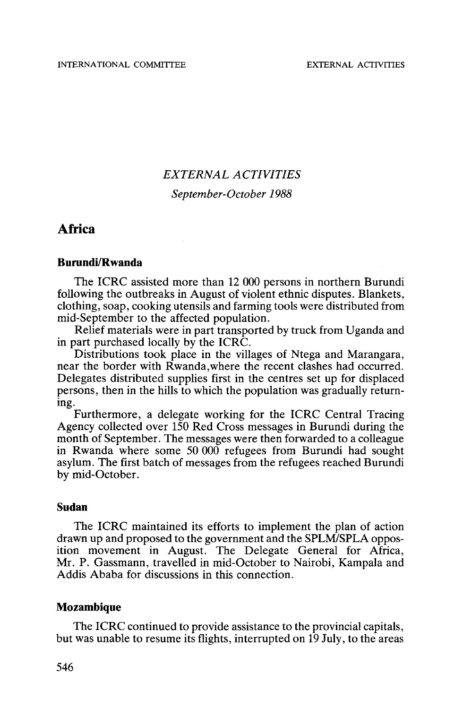# *EXTERNAL ACTIVITIES September-October 1988*

## Africa

#### **Burundi/Rwanda**

The ICRC assisted more than 12 000 persons in northern Burundi<br>following the outbreaks in August of violent ethnic disputes. Blankets, following the outbreaks in August of august of violent ethnic disputes. Blankets, cooking utensils and farming tools were distributed from mid-September to the affected population.

Relief materials were in part transported by truck from Uganda and<br>in part purchased locally by the ICRC.

Distributions took place in the villages of Ntega and Marangara, near the border with Rwanda, where the recent clashes had occurred. Delegates distributed supplies first in the centres set up for displaced persons, then in the hills to which the population was gradually return- ing.

Furthermore, a delegate working for the ICRC Central Tracing Agency collected over 150 Red Cross messages in Burundi during the month of September. The messages were then forwarded to a colleague in Rwanda where some 50 000 refugees from Burundi had sought asylum. The first batch of messages from the refugees reached Burundi by mid-October.

#### **Sudan**

The ICRC maintained its efforts to implement the plan of action drawn up and proposed to the government and the SPLM/SPLA opposition movement in August. The Delegate General for Africa, Mr. P. Gassmann, travelled in mid-October to Nairobi, Kampala and Addis Ababa for discussions in this connection.

### **Mozambique**

The ICRC continued to provide assistance to the provincial capitals, but was unable to resume its flights, interrupted on 19 July, to the areas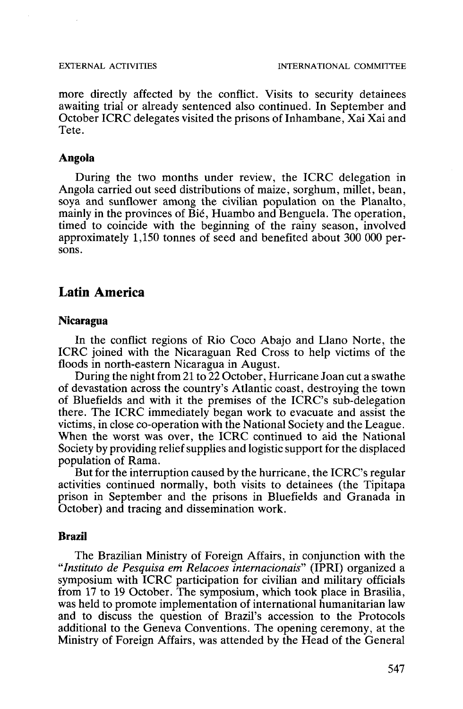more directly affected by the conflict. Visits to security detainees awaiting trial or already sentenced also continued. In September and October ICRC delegates visited the prisons of Inhambane, Xai Xai and Tete.

### **Angola**

During the two months under review, the ICRC delegation in Angola carried out seed distributions of maize, sorghum, millet, bean, soya and sunflower among the civilian population on the Planalto, mainly in the provinces of Bié, Huambo and Benguela. The operation, timed to coincide with the beginning of the rainy season, involved approximately 1,150 tonnes of seed and benefited about 300 000 per- sons.

## Latin America

### **Nicaragua**

In the conflict regions of Rio Coco Abajo and Llano Norte, the ICRC joined with the Nicaraguan Red Cross to help victims of the

During the night from 21 to  $22$  October, Hurricane Joan cut a swathe of devastation across the country's Atlantic coast, destroying the town of Bluefields and with it the premises of the ICRC's sub-delegation there. The ICRC immediately began work to evacuate and assist the When the worst was over, the ICRC continued to aid the National Society by providing relief supplies and logistic support for the displaced population of Rama.

But for the interruption caused by the hurricane, the ICRC's regular activities continued normally, both visits to detainees (the Tipitapa prison in September and the prisons in Bluefields and Granada in October) and tracing and dissemination work.

#### **Brazil**

The Brazilian Ministry of Foreign Affairs, in conjunction with the *"Institute de Pesquisa em Relacoes intemacionais"* (IPRI) organized a symposium with ICRC participation for civilian and military officials from 17 to 19 October. The symposium, which took place in Brasilia, was held to promote implementation of international humanitarian law and to discuss the question of Brazil's accession to the Protocols additional to the Geneva Conventions. The opening ceremony, at the Ministry of Foreign Affairs, was attended by the Head of the General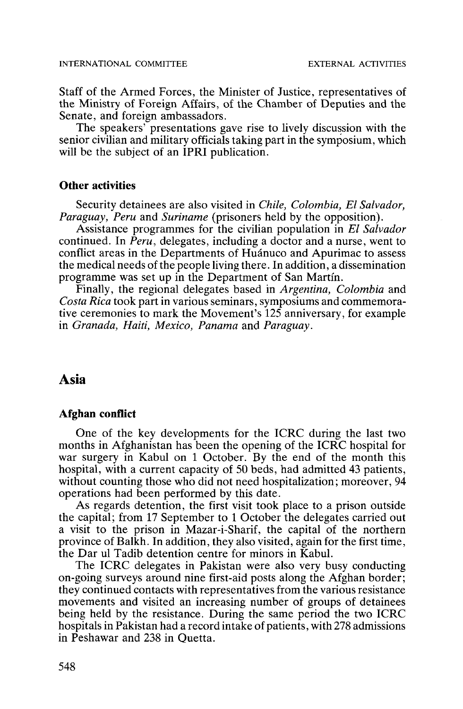Staff of the Armed Forces, the Minister of Justice, representatives of the Ministry of Foreign Affairs, of the Chamber of Deputies and the

The speakers' presentations gave rise to lively discussion with the senior civilian and military officials taking part in the symposium, which will be the subject of an IPRI publication.

#### **Other activities**

Security detainees are also visited in *Chile, Colombia, El Salvador,*

Assistance programmes for the civilian population in *El Salvador* continued. In *Peru,* delegates, including a doctor and a nurse, went to conflict areas in the Departments of Huánuco and Apurimac to assess the medical needs of the people living there. In addition, a dissemination programme was set up in the Department of San Martín.

Finally, the regional delegates based in *Argentina, Colombia* and Costa Rica took part in various seminars, symposiums and commemora*costa Figure 20 arri*ous seminary seminary in various seminary and comment's  $125$  anniversary, for example in *Granada, Haiti, Mexico, Panama* and *Paraguay.*

## Asia

#### **Afghan conflict**

One of the key developments for the ICRC during the last two months in Afghanistan has been the opening of the ICRC hospital for war surgery in Kabul on 1 October. By the end of the month this hospital, with a current capacity of 50 beds, had admitted 43 patients. without counting those who did not need hospitalization; moreover, 94 operations had been performed by this date. As regards detention, the first visit took place to a prison outside

the capital; from 17 September to 1 October the delegates carried out a visit to the prison in Mazar-i-Sharif, the capital of the northern province of Balkh. In addition, they also visited, again for the first time, the Dar ul Tadib detention centre for minors in Kabul.

The ICRC delegates in Pakistan were also very busy conducting on-going surveys around nine first-aid posts along the Afghan border; they continued contacts with representatives from the various resistance movements and visited an increasing number of groups of detainees being held by the resistance. During the same period the two ICRC hospitals in Pakistan had a record intake of patients, with 278 admissions in Peshawar and 238 in Quetta.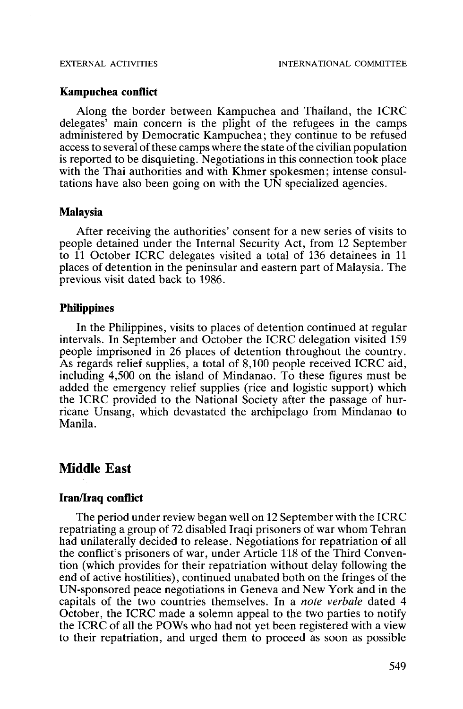### **Kampuchea conflict**

Along the border between Kampuchea and Thailand, the ICRC delegates' main concern is the plight of the refugees in the camps administered by Democratic Kampuchea; they continue to be refused access to several of these camps where the state of the civilian population is reported to be disquieting. Negotiations in this connection took place with the Thai authorities and with Khmer spokesmen; intense consul- tations have also been going on with the UN specialized agencies.

#### **Malaysia**

After receiving the authorities' consent for a new series of visits to people detained under the Internal Security Act, from 12 September to 11 October ICRC delegates visited a total of 136 detainees in 11 places of detention in the peninsular and eastern part of Malaysia. The previous visit dated back to 1986.

#### **Philippines**

In the Philippines, visits to places of detention continued at regular intervals. In September and October the ICRC delegation visited 159 people imprisoned in 26 places of detention throughout the country. As regards relief supplies, a total of 8,100 people received ICRC aid, including 4,500 on the island of Mindanao. To these figures must be added the emergency relief supplies (rice and logistic support) which the ICRC provided to the National Society after the passage of hur- ricane Unsang, which devastated the archipelago from Mindanao to Manila.

## Middle East

#### **Iran/Iraq conflict**

The period under review began well on 12 September with the ICRC repatriating a group of 72 disabled Iraqi prisoners of war whom Tehran had unilaterally decided to release. Negotiations for repatriation of all the conflict's prisoners of war, under Article 118 of the Third Conven- tion (which provides for their repatriation without delay following the end of active hostilities), continued unabated both on the fringes of the UN-sponsored peace negotiations in Geneva and New York and in the capitals of the two countries themselves. In a *note verbale* dated 4 October, the ICRC made a solemn appeal to the two parties to notify the ICRC of all the POWs who had not yet been registered with a view to their repatriation, and urged them to proceed as soon as possible